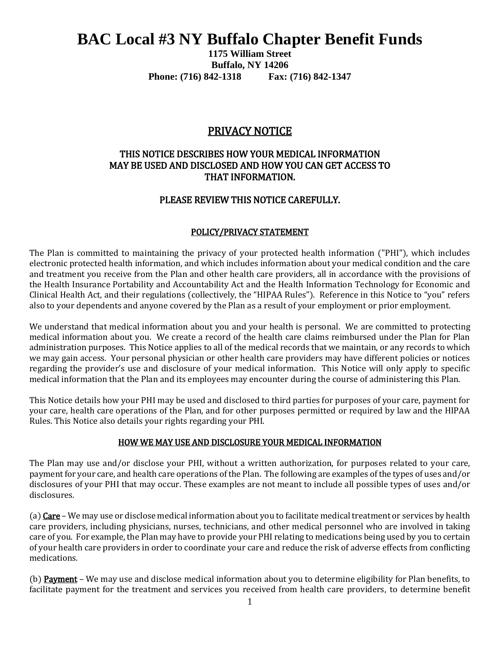# **BAC Local #3 NY Buffalo Chapter Benefit Funds**

**1175 William Street Buffalo, NY 14206 Phone: (716) 842-1318 Fax: (716) 842-1347**

# PRIVACY NOTICE

# THIS NOTICE DESCRIBES HOW YOUR MEDICAL INFORMATION MAY BE USED AND DISCLOSED AND HOW YOU CAN GET ACCESS TO THAT INFORMATION.

## PLEASE REVIEW THIS NOTICE CAREFULLY.

#### POLICY/PRIVACY STATEMENT

The Plan is committed to maintaining the privacy of your protected health information ("PHI"), which includes electronic protected health information, and which includes information about your medical condition and the care and treatment you receive from the Plan and other health care providers, all in accordance with the provisions of the Health Insurance Portability and Accountability Act and the Health Information Technology for Economic and Clinical Health Act, and their regulations (collectively, the "HIPAA Rules"). Reference in this Notice to "you" refers also to your dependents and anyone covered by the Plan as a result of your employment or prior employment.

We understand that medical information about you and your health is personal. We are committed to protecting medical information about you. We create a record of the health care claims reimbursed under the Plan for Plan administration purposes. This Notice applies to all of the medical records that we maintain, or any records to which we may gain access. Your personal physician or other health care providers may have different policies or notices regarding the provider's use and disclosure of your medical information. This Notice will only apply to specific medical information that the Plan and its employees may encounter during the course of administering this Plan.

This Notice details how your PHI may be used and disclosed to third parties for purposes of your care, payment for your care, health care operations of the Plan, and for other purposes permitted or required by law and the HIPAA Rules. This Notice also details your rights regarding your PHI.

#### HOW WE MAY USE AND DISCLOSURE YOUR MEDICAL INFORMATION

The Plan may use and/or disclose your PHI, without a written authorization, for purposes related to your care, payment for your care, and health care operations of the Plan. The following are examples of the types of uses and/or disclosures of your PHI that may occur. These examples are not meant to include all possible types of uses and/or disclosures.

(a) Care – We may use or disclose medical information about you to facilitate medical treatment or services by health care providers, including physicians, nurses, technicians, and other medical personnel who are involved in taking care of you. For example, the Plan may have to provide your PHI relating to medications being used by you to certain of your health care providers in order to coordinate your care and reduce the risk of adverse effects from conflicting medications.

(b) Payment – We may use and disclose medical information about you to determine eligibility for Plan benefits, to facilitate payment for the treatment and services you received from health care providers, to determine benefit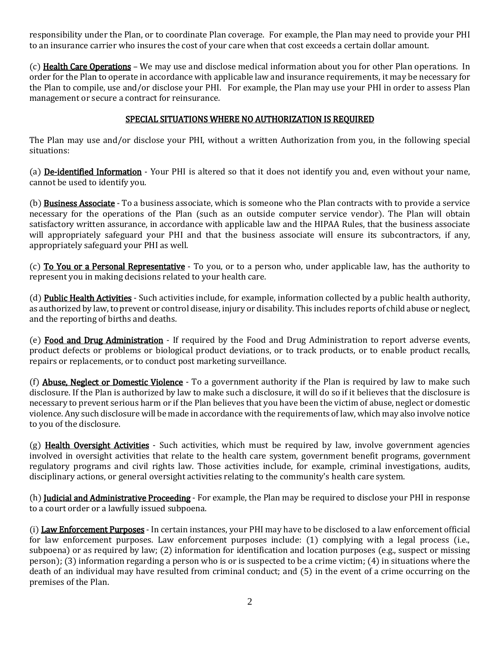responsibility under the Plan, or to coordinate Plan coverage. For example, the Plan may need to provide your PHI to an insurance carrier who insures the cost of your care when that cost exceeds a certain dollar amount.

(c) Health Care Operations – We may use and disclose medical information about you for other Plan operations. In order for the Plan to operate in accordance with applicable law and insurance requirements, it may be necessary for the Plan to compile, use and/or disclose your PHI. For example, the Plan may use your PHI in order to assess Plan management or secure a contract for reinsurance.

## SPECIAL SITUATIONS WHERE NO AUTHORIZATION IS REQUIRED

The Plan may use and/or disclose your PHI, without a written Authorization from you, in the following special situations:

(a) De-identified Information - Your PHI is altered so that it does not identify you and, even without your name, cannot be used to identify you.

(b) Business Associate - To a business associate, which is someone who the Plan contracts with to provide a service necessary for the operations of the Plan (such as an outside computer service vendor). The Plan will obtain satisfactory written assurance, in accordance with applicable law and the HIPAA Rules, that the business associate will appropriately safeguard your PHI and that the business associate will ensure its subcontractors, if any, appropriately safeguard your PHI as well.

(c) To You or a Personal Representative - To you, or to a person who, under applicable law, has the authority to represent you in making decisions related to your health care.

(d) Public Health Activities - Such activities include, for example, information collected by a public health authority, as authorized by law, to prevent or control disease, injury or disability. This includes reports of child abuse or neglect, and the reporting of births and deaths.

(e) Food and Drug Administration - If required by the Food and Drug Administration to report adverse events, product defects or problems or biological product deviations, or to track products, or to enable product recalls, repairs or replacements, or to conduct post marketing surveillance.

(f) **Abuse. Neglect or Domestic Violence** - To a government authority if the Plan is required by law to make such disclosure. If the Plan is authorized by law to make such a disclosure, it will do so if it believes that the disclosure is necessary to prevent serious harm or if the Plan believes that you have been the victim of abuse, neglect or domestic violence. Any such disclosure will be made in accordance with the requirements of law, which may also involve notice to you of the disclosure.

 $(g)$  Health Oversight Activities - Such activities, which must be required by law, involve government agencies involved in oversight activities that relate to the health care system, government benefit programs, government regulatory programs and civil rights law. Those activities include, for example, criminal investigations, audits, disciplinary actions, or general oversight activities relating to the community's health care system.

(h) **Judicial and Administrative Proceeding** - For example, the Plan may be required to disclose your PHI in response to a court order or a lawfully issued subpoena.

(i) Law Enforcement Purposes - In certain instances, your PHI may have to be disclosed to a law enforcement official for law enforcement purposes. Law enforcement purposes include: (1) complying with a legal process (i.e., subpoena) or as required by law; (2) information for identification and location purposes (e.g., suspect or missing person); (3) information regarding a person who is or is suspected to be a crime victim; (4) in situations where the death of an individual may have resulted from criminal conduct; and (5) in the event of a crime occurring on the premises of the Plan.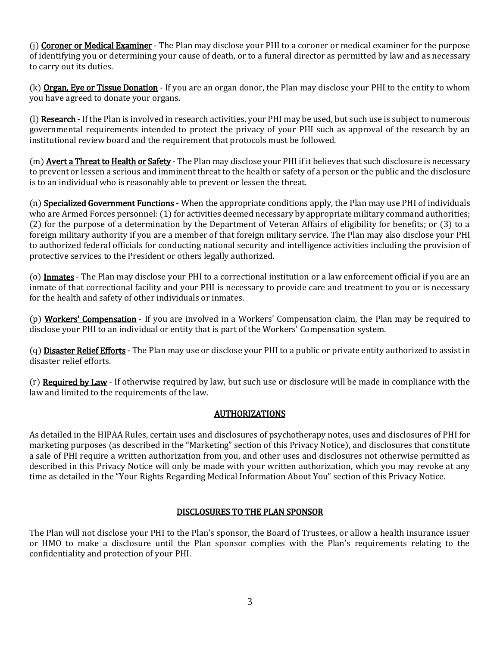(i) Coroner or Medical Examiner - The Plan may disclose your PHI to a coroner or medical examiner for the purpose of identifying you or determining your cause of death, or to a funeral director as permitted by law and as necessary to carry out its duties.

(k) **Organ, Eye or Tissue Donation** - If you are an organ donor, the Plan may disclose your PHI to the entity to whom you have agreed to donate your organs.

(I) Research - If the Plan is involved in research activities, your PHI may be used, but such use is subject to numerous governmental requirements intended to protect the privacy of your PHI such as approval of the research by an institutional review board and the requirement that protocols must be followed.

(m) **Avert a Threat to Health or Safety** - The Plan may disclose your PHI if it believes that such disclosure is necessary to prevent or lessen a serious and imminent threat to the health or safety of a person or the public and the disclosure is to an individual who is reasonably able to prevent or lessen the threat.

(n) Specialized Government Functions - When the appropriate conditions apply, the Plan may use PHI of individuals who are Armed Forces personnel: (1) for activities deemed necessary by appropriate military command authorities; (2) for the purpose of a determination by the Department of Veteran Affairs of eligibility for benefits; or (3) to a foreign military authority if you are a member of that foreign military service. The Plan may also disclose your PHI to authorized federal officials for conducting national security and intelligence activities including the provision of protective services to the President or others legally authorized.

(o) Inmates - The Plan may disclose your PHI to a correctional institution or a law enforcement official if you are an inmate of that correctional facility and your PHI is necessary to provide care and treatment to you or is necessary for the health and safety of other individuals or inmates.

(p) Workers' Compensation - If you are involved in a Workers' Compensation claim, the Plan may be required to disclose your PHI to an individual or entity that is part of the Workers' Compensation system.

(q) **Disaster Relief Efforts** - The Plan may use or disclose your PHI to a public or private entity authorized to assist in disaster relief efforts.

(r) Required by Law - If otherwise required by law, but such use or disclosure will be made in compliance with the law and limited to the requirements of the law.

# AUTHORIZATIONS

As detailed in the HIPAA Rules, certain uses and disclosures of psychotherapy notes, uses and disclosures of PHI for marketing purposes (as described in the "Marketing" section of this Privacy Notice), and disclosures that constitute a sale of PHI require a written authorization from you, and other uses and disclosures not otherwise permitted as described in this Privacy Notice will only be made with your written authorization, which you may revoke at any time as detailed in the "Your Rights Regarding Medical Information About You" section of this Privacy Notice.

## DISCLOSURES TO THE PLAN SPONSOR

The Plan will not disclose your PHI to the Plan's sponsor, the Board of Trustees, or allow a health insurance issuer or HMO to make a disclosure until the Plan sponsor complies with the Plan's requirements relating to the confidentiality and protection of your PHI.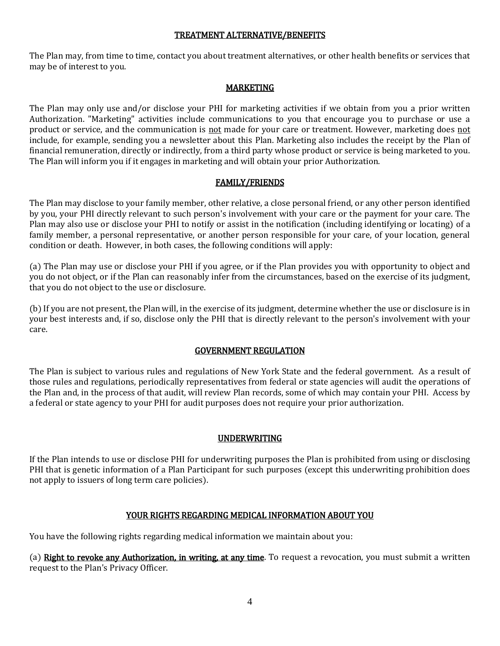#### TREATMENT ALTERNATIVE/BENEFITS

The Plan may, from time to time, contact you about treatment alternatives, or other health benefits or services that may be of interest to you.

## MARKETING

The Plan may only use and/or disclose your PHI for marketing activities if we obtain from you a prior written Authorization. "Marketing" activities include communications to you that encourage you to purchase or use a product or service, and the communication is not made for your care or treatment. However, marketing does not include, for example, sending you a newsletter about this Plan. Marketing also includes the receipt by the Plan of financial remuneration, directly or indirectly, from a third party whose product or service is being marketed to you. The Plan will inform you if it engages in marketing and will obtain your prior Authorization.

## FAMILY/FRIENDS

The Plan may disclose to your family member, other relative, a close personal friend, or any other person identified by you, your PHI directly relevant to such person's involvement with your care or the payment for your care. The Plan may also use or disclose your PHI to notify or assist in the notification (including identifying or locating) of a family member, a personal representative, or another person responsible for your care, of your location, general condition or death. However, in both cases, the following conditions will apply:

(a) The Plan may use or disclose your PHI if you agree, or if the Plan provides you with opportunity to object and you do not object, or if the Plan can reasonably infer from the circumstances, based on the exercise of its judgment, that you do not object to the use or disclosure.

(b) If you are not present, the Plan will, in the exercise of its judgment, determine whether the use or disclosure is in your best interests and, if so, disclose only the PHI that is directly relevant to the person's involvement with your care.

## GOVERNMENT REGULATION

The Plan is subject to various rules and regulations of New York State and the federal government. As a result of those rules and regulations, periodically representatives from federal or state agencies will audit the operations of the Plan and, in the process of that audit, will review Plan records, some of which may contain your PHI. Access by a federal or state agency to your PHI for audit purposes does not require your prior authorization.

## UNDERWRITING

If the Plan intends to use or disclose PHI for underwriting purposes the Plan is prohibited from using or disclosing PHI that is genetic information of a Plan Participant for such purposes (except this underwriting prohibition does not apply to issuers of long term care policies).

## YOUR RIGHTS REGARDING MEDICAL INFORMATION ABOUT YOU

You have the following rights regarding medical information we maintain about you:

(a) Right to revoke any Authorization, in writing, at any time. To request a revocation, you must submit a written request to the Plan's Privacy Officer.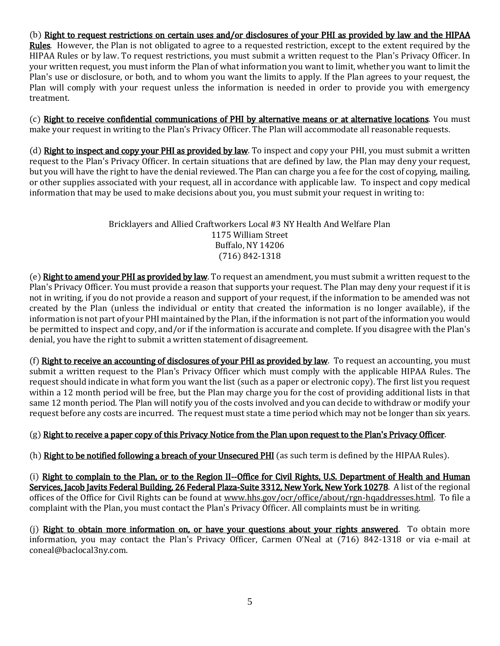## (b) Right to request restrictions on certain uses and/or disclosures of your PHI as provided by law and the HIPAA

Rules. However, the Plan is not obligated to agree to a requested restriction, except to the extent required by the HIPAA Rules or by law. To request restrictions, you must submit a written request to the Plan's Privacy Officer. In your written request, you must inform the Plan of what information you want to limit, whether you want to limit the Plan's use or disclosure, or both, and to whom you want the limits to apply. If the Plan agrees to your request, the Plan will comply with your request unless the information is needed in order to provide you with emergency treatment.

(c) Right to receive confidential communications of PHI by alternative means or at alternative locations. You must make your request in writing to the Plan's Privacy Officer. The Plan will accommodate all reasonable requests.

(d) Right to inspect and copy your PHI as provided by law. To inspect and copy your PHI, you must submit a written request to the Plan's Privacy Officer. In certain situations that are defined by law, the Plan may deny your request, but you will have the right to have the denial reviewed. The Plan can charge you a fee for the cost of copying, mailing, or other supplies associated with your request, all in accordance with applicable law. To inspect and copy medical information that may be used to make decisions about you, you must submit your request in writing to:

## Bricklayers and Allied Craftworkers Local #3 NY Health And Welfare Plan 1175 William Street Buffalo, NY 14206 (716) 842-1318

(e) Right to amend your PHI as provided by law. To request an amendment, you must submit a written request to the Plan's Privacy Officer. You must provide a reason that supports your request. The Plan may deny your request if it is not in writing, if you do not provide a reason and support of your request, if the information to be amended was not created by the Plan (unless the individual or entity that created the information is no longer available), if the information is not part of your PHI maintained by the Plan, if the information is not part of the information you would be permitted to inspect and copy, and/or if the information is accurate and complete. If you disagree with the Plan's denial, you have the right to submit a written statement of disagreement.

(f) Right to receive an accounting of disclosures of your PHI as provided by law. To request an accounting, you must submit a written request to the Plan's Privacy Officer which must comply with the applicable HIPAA Rules. The request should indicate in what form you want the list (such as a paper or electronic copy). The first list you request within a 12 month period will be free, but the Plan may charge you for the cost of providing additional lists in that same 12 month period. The Plan will notify you of the costs involved and you can decide to withdraw or modify your request before any costs are incurred. The request must state a time period which may not be longer than six years.

# (g) Right to receive a paper copy of this Privacy Notice from the Plan upon request to the Plan's Privacy Officer.

(h) Right to be notified following a breach of your Unsecured PHI (as such term is defined by the HIPAA Rules).

(i) Right to complain to the Plan, or to the Region II--Office for Civil Rights, U.S. Department of Health and Human Services, Jacob Javits Federal Building, 26 Federal Plaza-Suite 3312, New York, New York 10278. A list of the regional offices of the Office for Civil Rights can be found at www.hhs.gov/ocr/office/about/rgn-hqaddresses.html. To file a complaint with the Plan, you must contact the Plan's Privacy Officer. All complaints must be in writing.

(j) Right to obtain more information on, or have your questions about your rights answered. To obtain more information, you may contact the Plan's Privacy Officer, Carmen O'Neal at (716) 842-1318 or via e-mail at coneal@baclocal3ny.com.